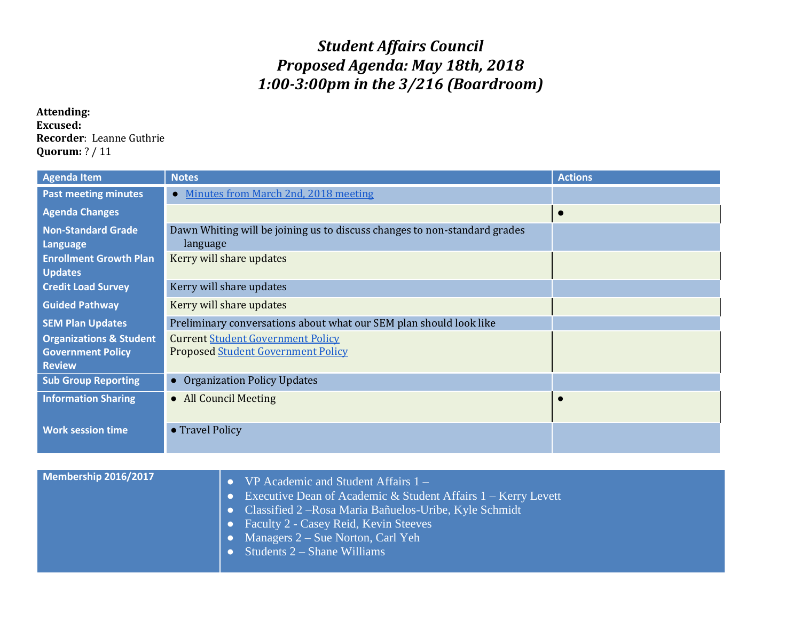## *Student Affairs Council Proposed Agenda: May 18th, 2018 1:00-3:00pm in the 3/216 (Boardroom)*

## **Attending: Excused: Recorder**: Leanne Guthrie **Quorum:** ? / 11

| <b>Agenda Item</b>                                                              | <b>Notes</b>                                                                          | <b>Actions</b> |
|---------------------------------------------------------------------------------|---------------------------------------------------------------------------------------|----------------|
| <b>Past meeting minutes</b>                                                     | Minutes from March 2nd, 2018 meeting<br>$\bullet$                                     |                |
| <b>Agenda Changes</b>                                                           |                                                                                       |                |
| <b>Non-Standard Grade</b><br>Language                                           | Dawn Whiting will be joining us to discuss changes to non-standard grades<br>language |                |
| <b>Enrollment Growth Plan</b><br><b>Updates</b>                                 | Kerry will share updates                                                              |                |
| <b>Credit Load Survey</b>                                                       | Kerry will share updates                                                              |                |
| <b>Guided Pathway</b>                                                           | Kerry will share updates                                                              |                |
| <b>SEM Plan Updates</b>                                                         | Preliminary conversations about what our SEM plan should look like                    |                |
| <b>Organizations &amp; Student</b><br><b>Government Policy</b><br><b>Review</b> | <b>Current Student Government Policy</b><br><b>Proposed Student Government Policy</b> |                |
| <b>Sub Group Reporting</b>                                                      | • Organization Policy Updates                                                         |                |
| <b>Information Sharing</b>                                                      | • All Council Meeting                                                                 |                |
| <b>Work session time</b>                                                        | • Travel Policy                                                                       |                |

| Membership 2016/2017 | $VP$ Academic and Student Affairs $1 -$                            |
|----------------------|--------------------------------------------------------------------|
|                      | • Executive Dean of Academic & Student Affairs $1 -$ Kerry Levett  |
|                      | • Classified $2 - Rosa Maria Ba\tilde{n}uelos-Uribe, Kyle Schmidt$ |
|                      | • Faculty $2$ - Casey Reid, Kevin Steeves                          |
|                      | • Managers $2 - S$ ue Norton, Carl Yeh                             |
|                      | $\bullet$ Students 2 – Shane Williams                              |
|                      |                                                                    |